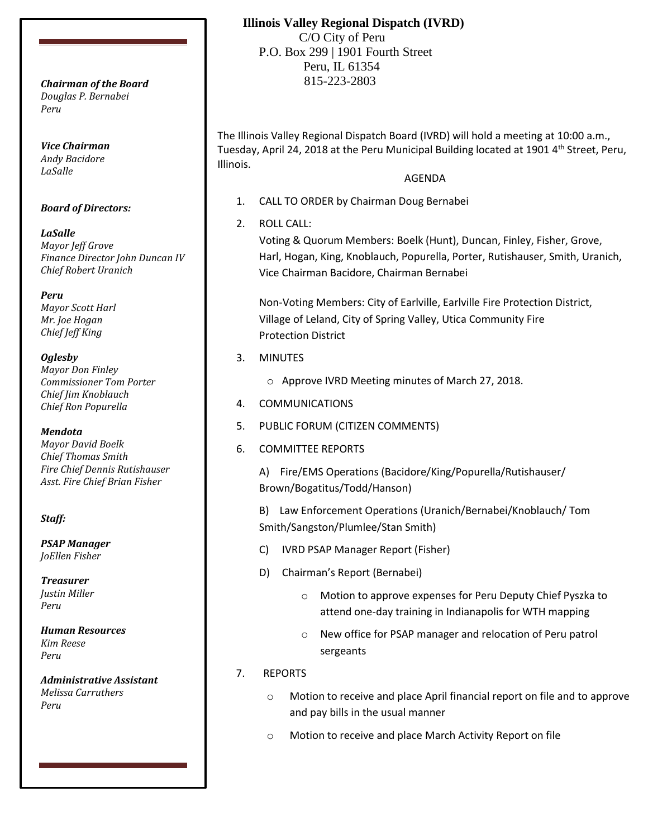*Douglas P. Bernabei Peru*

*Vice Chairman Andy Bacidore LaSalle*

### *Board of Directors:*

*LaSalle Mayor Jeff Grove Finance Director John Duncan IV Chief Robert Uranich*

*Peru Mayor Scott Harl Mr. Joe Hogan Chief Jeff King*

### *Oglesby*

*Mayor Don Finley Commissioner Tom Porter Chief Jim Knoblauch Chief Ron Popurella*

### *Mendota*

*Mayor David Boelk Chief Thomas Smith Fire Chief Dennis Rutishauser Asst. Fire Chief Brian Fisher*

### *Staff:*

*PSAP Manager JoEllen Fisher*

*Treasurer Justin Miller Peru*

*Human Resources Kim Reese Peru*

*Administrative Assistant Melissa Carruthers Peru*

## **Illinois Valley Regional Dispatch (IVRD)**

 C/O City of Peru P.O. Box 299 | 1901 Fourth Street Peru, IL 61354 815-223-2803 *Chairman of the Board*

> The Illinois Valley Regional Dispatch Board (IVRD) will hold a meeting at 10:00 a.m., Tuesday, April 24, 2018 at the Peru Municipal Building located at 1901  $4<sup>th</sup>$  Street, Peru, Illinois.

## AGENDA

- 1. CALL TO ORDER by Chairman Doug Bernabei
- 2. ROLL CALL:

Voting & Quorum Members: Boelk (Hunt), Duncan, Finley, Fisher, Grove, Harl, Hogan, King, Knoblauch, Popurella, Porter, Rutishauser, Smith, Uranich, Vice Chairman Bacidore, Chairman Bernabei

Non-Voting Members: City of Earlville, Earlville Fire Protection District, Village of Leland, City of Spring Valley, Utica Community Fire Protection District

- 3. MINUTES
	- o Approve IVRD Meeting minutes of March 27, 2018.
- 4. COMMUNICATIONS
- 5. PUBLIC FORUM (CITIZEN COMMENTS)
- 6. COMMITTEE REPORTS

A) Fire/EMS Operations (Bacidore/King/Popurella/Rutishauser/ Brown/Bogatitus/Todd/Hanson)

B) Law Enforcement Operations (Uranich/Bernabei/Knoblauch/ Tom Smith/Sangston/Plumlee/Stan Smith)

- C) IVRD PSAP Manager Report (Fisher)
- D) Chairman's Report (Bernabei)
	- o Motion to approve expenses for Peru Deputy Chief Pyszka to attend one-day training in Indianapolis for WTH mapping
	- o New office for PSAP manager and relocation of Peru patrol sergeants
- 7. REPORTS
	- o Motion to receive and place April financial report on file and to approve and pay bills in the usual manner
	- o Motion to receive and place March Activity Report on file